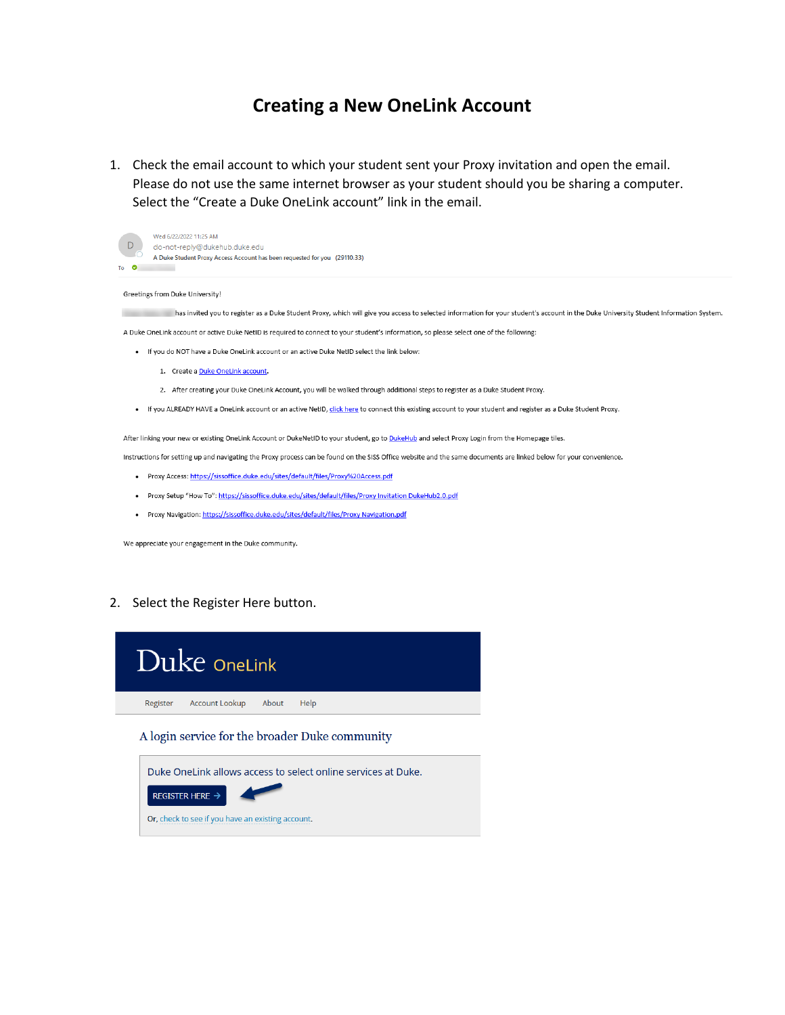## **Creating a New OneLink Account**

1. Check the email account to which your student sent your Proxy invitation and open the email. Please do not use the same internet browser as your student should you be sharing a computer. Select the "Create a Duke OneLink account" link in the email.



## Greetings from Duke University!

has invited you to register as a Duke Student Proxy, which will give you access to selected information for your student's account in the Duke University Student Information System. **STAR** 

A Duke OneLink account or active Duke NetID is required to connect to your student's information, so please select one of the following:

- . If you do NOT have a Duke OneLink account or an active Duke NetID select the link below:
	- 1. Create a Duke OneLink account.
	- 2. After creating your Duke OneLink Account, you will be walked through additional steps to register as a Duke Student Proxy.
- . If you ALREADY HAVE a OneLink account or an active NetID, click here to connect this existing account to your student and register as a Duke Student Proxy.

After linking your new or existing OneLink Account or DukeNetID to your student, go to DukeHub and select Proxy Login from the Homepage tiles.

Instructions for setting up and navigating the Proxy process can be found on the SISS Office website and the same documents are linked below for your convenience.

- Proxy Access: https://sissoffice.duke.edu/sites/default/files/Proxy%20Access.pdf
- · Proxy Setup "How To": https://sissoffice.duke.edu/sites/default/files/Proxy Invitation DukeHub2.0.pdf
- Proxy Navigation: https://sissoffice.duke.edu/sites/default/files/Proxy Navigation.pdf

We appreciate your engagement in the Duke community.

## 2. Select the Register Here button.



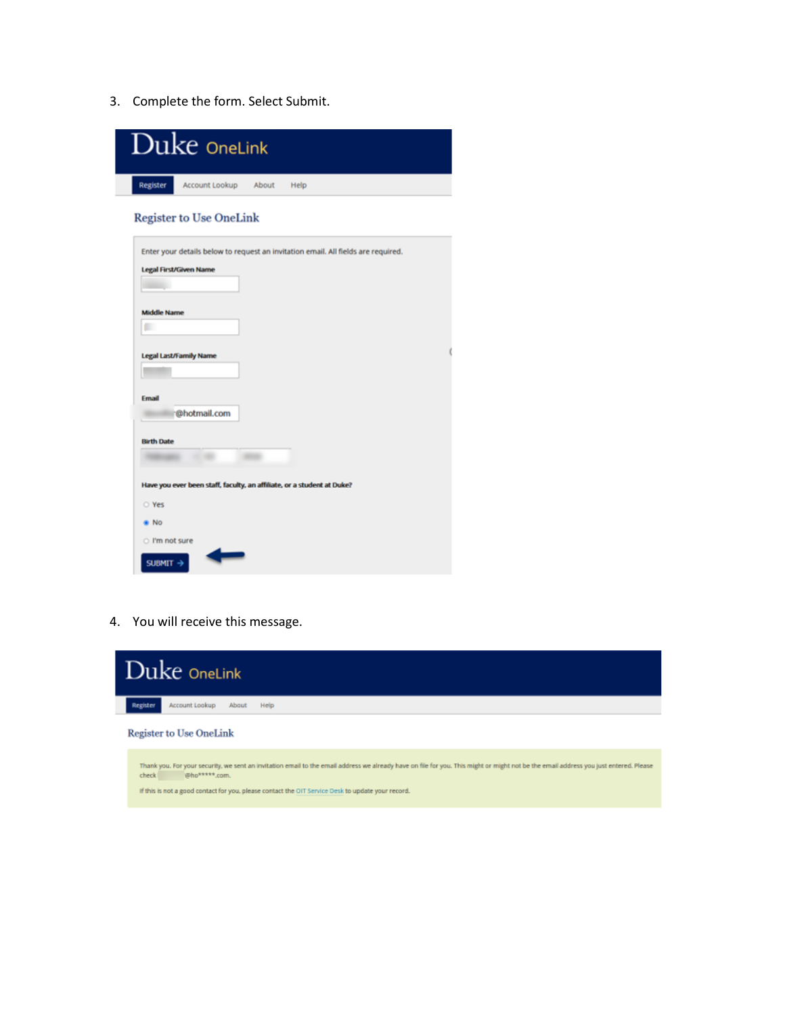3. Complete the form. Select Submit.



4. You will receive this message.



If this is not a good contact for you, please contact the OIT Service Desk to update your record.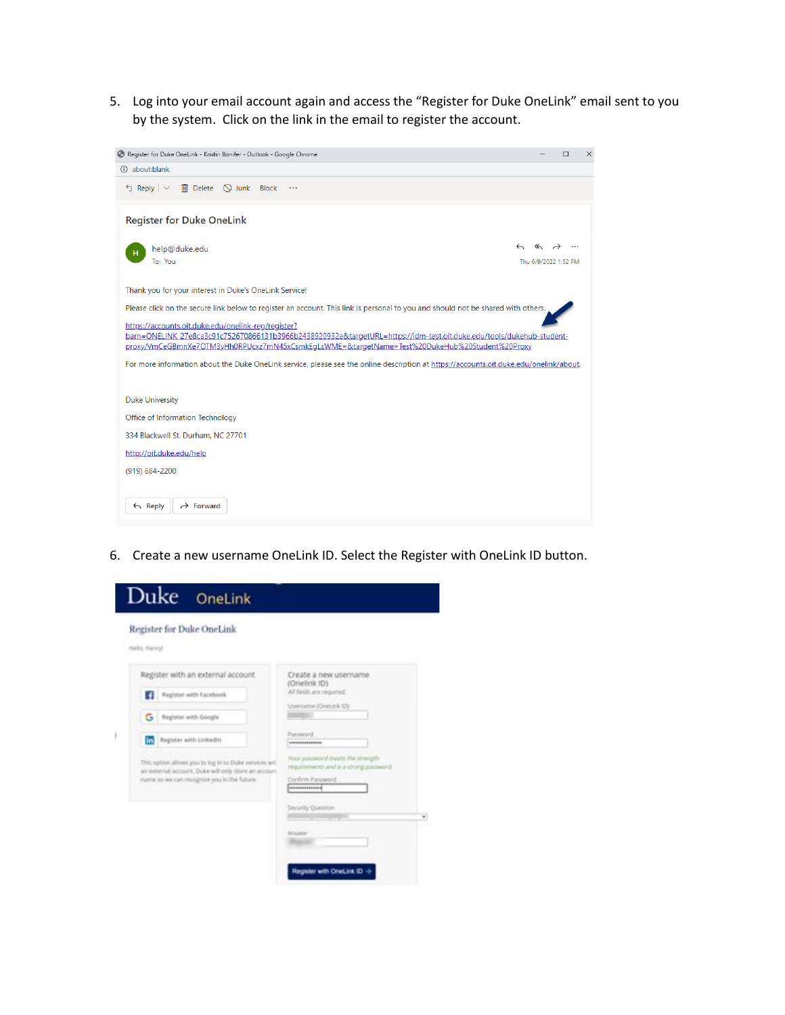5. Log into your email account again and access the "Register for Duke OneLink" email sent to you by the system. Click on the link in the email to register the account.



6. Create a new username OneLink ID. Select the Register with OneLink ID button.

| Helis, Henryl | Register for Duke OneLink                                                                                      |                                                                                          |
|---------------|----------------------------------------------------------------------------------------------------------------|------------------------------------------------------------------------------------------|
|               | Register with an external account:                                                                             | Create a new usemame                                                                     |
| Ŧ             | <b>Register with Facebook</b>                                                                                  | (Onelink ID)<br>All fields are required.                                                 |
| G             | Register with Google                                                                                           | Username (Onesirà (D)                                                                    |
| in.           | Reputer with Unkedin                                                                                           | Parisonni<br>---------------                                                             |
|               | This option allows you to kee in to Duke services with<br>an external account. Duke will only store an account | Finanzial covered interests of was a transport-<br>providences and is a strong password. |
|               | name so we can recognize you in the future.                                                                    | Confirm Password<br>--------------                                                       |
|               |                                                                                                                | Security Question                                                                        |
|               |                                                                                                                |                                                                                          |